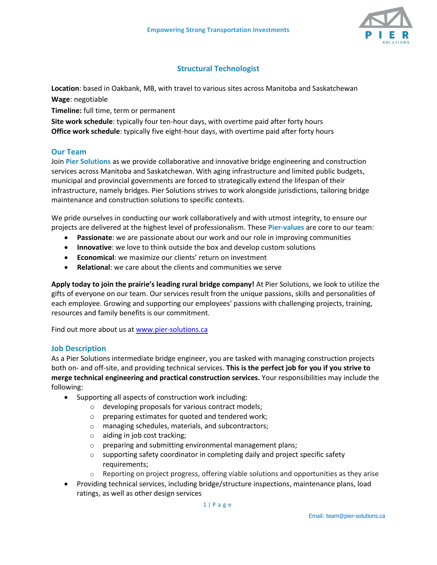

# **Structural Technologist**

**Location**: based in Oakbank, MB, with travel to various sites across Manitoba and Saskatchewan

**Wage**: negotiable

**Timeline:** full time, term or permanent

**Site work schedule**: typically four ten-hour days, with overtime paid after forty hours **Office work schedule**: typically five eight-hour days, with overtime paid after forty hours

# **Our Team**

Join **Pier Solutions** as we provide collaborative and innovative bridge engineering and construction services across Manitoba and Saskatchewan. With aging infrastructure and limited public budgets, municipal and provincial governments are forced to strategically extend the lifespan of their infrastructure, namely bridges. Pier Solutions strives to work alongside jurisdictions, tailoring bridge maintenance and construction solutions to specific contexts.

We pride ourselves in conducting our work collaboratively and with utmost integrity, to ensure our projects are delivered at the highest level of professionalism. These **Pier-values** are core to our team:

- **Passionate**: we are passionate about our work and our role in improving communities
- **Innovative**: we love to think outside the box and develop custom solutions
- **Economical**: we maximize our clients' return on investment
- **Relational**: we care about the clients and communities we serve

**Apply today to join the prairie's leading rural bridge company!** At Pier Solutions, we look to utilize the gifts of everyone on our team. Our services result from the unique passions, skills and personalities of each employee. Growing and supporting our employees' passions with challenging projects, training, resources and family benefits is our commitment.

Find out more about us at [www.pier-solutions.ca](http://www.pier-solutions.ca/)

# **Job Description**

As a Pier Solutions intermediate bridge engineer, you are tasked with managing construction projects both on- and off-site, and providing technical services. **This is the perfect job for you if you strive to merge technical engineering and practical construction services.** Your responsibilities may include the following:

- Supporting all aspects of construction work including:
	- o developing proposals for various contract models;
	- o preparing estimates for quoted and tendered work;
	- o managing schedules, materials, and subcontractors;
	- o aiding in job cost tracking;
	- o preparing and submitting environmental management plans;
	- $\circ$  supporting safety coordinator in completing daily and project specific safety requirements;
	- $\circ$  Reporting on project progress, offering viable solutions and opportunities as they arise
- Providing technical services, including bridge/structure inspections, maintenance plans, load ratings, as well as other design services

1 | P a g e